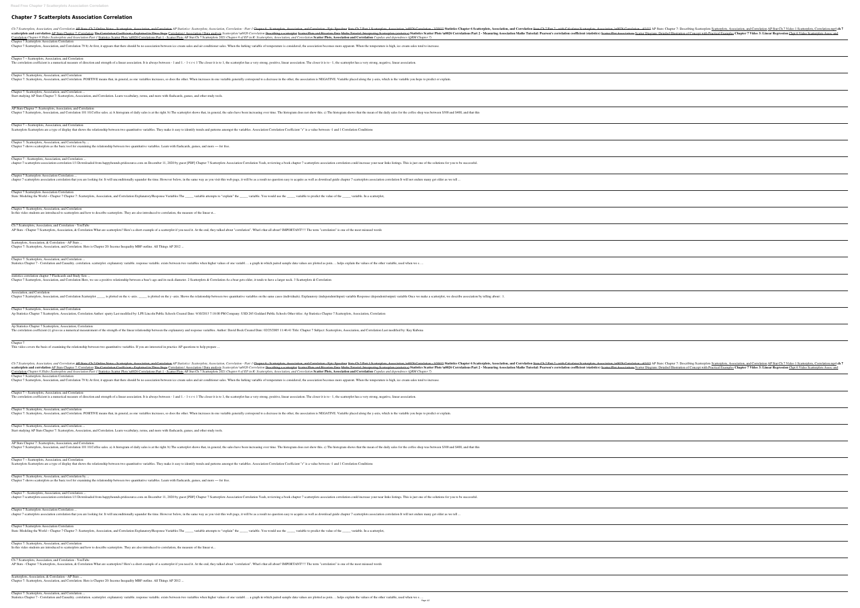## **Chapter 7 Scatterplots Association Correlation**

Ch 7 Scatterplots, Association, and Correlation AP Stats: Ch 7 Online Notes - Scatterplots, Association, and Correlation AP Statistics: Scatterplots, Association, Corre scatterplots and correlation AP Stats Chapter 7: Correlation The Correlation Coefficient - Explained in Three Steps Correlation | Association | Data analysis Scatterp Correlation Chapter 6 Slides Scatterplots and Association Part 1 Statistics Scatter Plots \u0026 Correlations Part 1 - Scatter Plots AP Stat Ch 7 Scatterplots 2021 Chap Chapter 7 Scatterplots Association Correlation Chapter 7 Scatterplots, Association, and Correlation 79 b) At first, it appears that there should be no association between ice cream sales and air conditioner sales. Whe

The correlation coefficient is a numerical measure of direction and strength of a linear association. It is always between - 1 and 1. -  $1 < r < 1$  The closer it is to 1, the set

Chapter 7: Scatterplots, Association, and Correlation Chapter 7: Scatterplots, Association, and Correlation. POSITIVE means that, in general, as one variables increases, so does the other. When increases in one variable

AP Stats Chapter 7: Scatterplots, Association, and Correlation Chapter 7 Scatterplots, Association, and Correlation 101 10. Coffee sales. a) A histogram of daily sales is at the right. b) The scatterplot shows that, in general, the sales

Chapter 7 – Scatterplots, Association, and Correlation Scatterplots Scatterplots are a type of display that shows the relationship between two quantitative variables. They make it easy to identify trends and patterns amongst

Chapter 7 – Scatterplots, Association, and Correlation

chapter-7-scatterplots-association-correlation 1/1 Downloaded from happyhounds.pridesource.com on December 11, 2020 by guest [PDF] Chapter 7 Scatterplots Asso

Chapter 7 Scatterplots Association Correlation ... chapter 7 scatterplots association correlation that you are looking for. It will unconditionally squander the time. However below, in the same way as you visit this web

Chapter 7 Scatterplots Association Correlation Stats: Modeling the World - Chapter 7 Chapter 7: Scatterplots, Association, and Correlation Explanatory/Response Variables The \_\_\_\_ variable attempts to "explain"

Ch 7 Scatterplots, Association, and Correlation - YouTube AP Stats - Chapter 7 Scatterplots, Association, & Correlation What are scatterplots? Here's a short example of a scatterplot if you need it. At the end, they talked about

Chapter 7: Scatterplots, Association, and Correlation ... Start studying AP Stats Chapter 7: Scatterplots, Association, and Correlation. Learn vocabulary, terms, and more with flashcards, games, and other study tools.

Scatterplots, Association, & Correlation - AP Stats .. Chapter 7: Scatterplots, Association, and Correlation. Here is Chapter 20: Income Inequality MBF outline. All Things AP 2012 ...

Chapter 7 Scatterplots, Association, and Correlation Ap Statistics Chapter 7 Scatterplots, Association, Correlation Author: spatry Last modified by: LPS Lincoln Public Schools Created Date: 9/10/2013 7:18:00 PM Com

Ap Statistics Chapter 7 Scatterplots, Association, Correlation The correlation coefficient (r) gives us a numerical measurement of the strength of the linear relationship between the explanatory and response variables. Author: Dav

Chapter 7: Scatterplots, Association, and Correlation by ... Chapter 7 shows scatterplots as the basic tool for examining the relationship between two quantitative variables. Learn with flashcards, games, and more — for free.

Chapter 7 - Scatterplots, Association, and Correlation ...

Chapter 7: Scatterplots, Association, and Correlation Chapter 7: Scatterplots, Association, and Correlation. POSITIVE means that, in general, as one variables increases, so does the other. When increases in one variable g

Chapter 7: Scatterplots, Association, and Correlation In this video students are introduced to scatterplots and how to describe scatterplots. They are also introduced to correlation, the measure of the linear st...

AP Stats Chapter 7: Scatterplots, Association, and Correlation Chapter 7 Scatterplots, Association, and Correlation 101 10. Coffee sales. a) A histogram of daily sales is at the right. b) The scatterplot shows that, in general, the sales

Chapter 7 – Scatterplots, Association, and Correlation Scatterplots Scatterplots are a type of display that shows the relationship between two quantitative variables. They make it easy to identify trends and patterns amongs

Chapter 7 - Scatterplots, Association, and Correlation ... chapter-7-scatterplots-association-correlation 1/1 Downloaded from happyhounds.pridesource.com on December 11, 2020 by guest [PDF] Chapter 7 Scatterplots Asso

Chapter 7: Scatterplots, Association, and Correlation ...

Chapter 7 Scatterplots Association Correlation ... chapter 7 scatterplots association correlation that you are looking for. It will unconditionally squander the time. However below, in the same way as you visit this web

Chapter 7 Scatterplots Association Correlation Stats: Modeling the World - Chapter 7 Chapter 7: Scatterplots, Association, and Correlation Explanatory/Response Variables The \_\_\_\_ variable attempts to "explain"

statistics correlation chapter 7 Flashcards and Study Sets ...

Chapter 7 Scatterplots, Association, and Correlation Here, we see a positive relationship between a bear's age and its neck diameter. 2 Scatterplots & Correlation As a

Chapter 7 Scatterplots, Association, and Correlation Scatterplot \_\_\_\_\_ is plotted on the x-axis. \_\_\_\_ is plotted on the y-axis. Shows the relationship between two qu

Association, and Correlation

Statistics Chapter 7 - Correlation and Causality. correlation. scatterplot. explanatory variable. response variable. exists between two variables when higher values of on

Scatterplots, Association, & Correlation - AP Stats ... Chapter 7: Scatterplots, Association, and Correlation. Here is Chapter 20: Income Inequality MBF outline. All Things AP 2012 ...

Chapter 7 This video covers the basis of examining the relationship between two quantitative variables. If you are interested in practice AP questions to help prepare ...

Ch 7 Scatterplots, Association, and Correlation AP Stats: Ch 7 Online Notes - Scatterplots, Association, and Correlation AP Statistics: Scatterplots, Association, Corre scatterplots and correlation AP Stats Chapter 7: Correlation The Correlation Coefficient - Explained in Three Steps Correlation | Association | Data analysis Scatterp Correlation Chapter 6 Slides Scatterplots and Association Part 1 Statistics Scatter Plots \u0026 Correlations Part 1 - Scatter Plots AP Stat Ch 7 Scatterplots 2021 Chap Chapter 7 Scatterplots Association Correlation Chapter 7 Scatterplots, Association, and Correlation 79 b) At first, it appears that there should be no association between ice cream sales and air conditioner sales. Whe

Chapter 7 – Scatterplots, Association, and Correlation

The correlation coefficient is a numerical measure of direction and strength of a linear association. It is always between - 1 and 1. -  $1 < r < 1$  The closer it is to 1, the sc

Chapter 7: Scatterplots, Association, and Correlation ... Start studying AP Stats Chapter 7: Scatterplots, Association, and Correlation. Learn vocabulary, terms, and more with flashcards, games, and other study tools.

Chapter 7: Scatterplots, Association, and Correlation by ...

Chapter 7 shows scatterplots as the basic tool for examining the relationship between two quantitative variables. Learn with flashcards, games, and more — for free.

Chapter 7: Scatterplots, Association, and Correlation

In this video students are introduced to scatterplots and how to describe scatterplots. They are also introduced to correlation, the measure of the linear st...

Ch 7 Scatterplots, Association, and Correlation - YouTube

AP Stats - Chapter 7 Scatterplots, Association, & Correlation What are scatterplots? Here's a short example of a scatterplot if you need it. At the end, they talked about

Chapter 7: Scatterplots, Association, and Correlation ...

Statistics Chapter 7 - Correlation and Causality. correlation. scatterplot. explanatory variable. response variable. exists between two variables when higher values of one variabl.... a graph in which paired sample data va

| relation - Part 1 Chapter 6 - Scatterplots, Association, and Correlation - Epic Speedrun Stats Ch 7 Part 1 Scatterplots, Association, \u0026 Correlation - 3/30/15 Statistics C<br>plots \u0026 Correlation <del>Describing a scatterplot Scatter Plots and Bivariate Data Maths Tutorial: Interpreting Scatterplots (statistics) Statistics Scatter Plots \u0026 Corre</del><br>pter 6 of IS5 in R: Scatterplots, Association, and Correlation Scatter Plots, Association and Correlation Copulas and dependence (QRM Chapter 7) |
|-----------------------------------------------------------------------------------------------------------------------------------------------------------------------------------------------------------------------------------------------------------------------------------------------------------------------------------------------------------------------------------------------------------------------------------------------------------------------------------------------------------------------------------|
| nen the lurking variable of temperature is considered, the association becomes more apparent. When the temperature is high, ice cream sales tend to increase.                                                                                                                                                                                                                                                                                                                                                                     |
| scatterplot has a very strong, positive, linear association. The closer it is to - 1, the scatterplot has a very strong, negative, linear association.                                                                                                                                                                                                                                                                                                                                                                            |
| generally correspond to a decrease in the other, the association is NEGATIVE. Variable placed along the y-axis, which is the variable you hope to predict or explain.                                                                                                                                                                                                                                                                                                                                                             |
|                                                                                                                                                                                                                                                                                                                                                                                                                                                                                                                                   |
| es have been increasing over time. The histogram does not show this. c) The histogram shows that the mean of the daily sales for the coffee shop was between \$300 and \$40                                                                                                                                                                                                                                                                                                                                                       |
| st the variables. Association Correlation Coefficient "r" is a value between -1 and 1 Correlation Conditions                                                                                                                                                                                                                                                                                                                                                                                                                      |
|                                                                                                                                                                                                                                                                                                                                                                                                                                                                                                                                   |
| ociation Correlation Yeah, reviewing a book chapter 7 scatterplots association correlation could increase your near links listings. This is just one of the solutions for you to b                                                                                                                                                                                                                                                                                                                                                |
|                                                                                                                                                                                                                                                                                                                                                                                                                                                                                                                                   |
| page, it will be as a result no question easy to acquire as well as download guide chapter 7 scatterplots association correlation It will not endure many get older as we tell                                                                                                                                                                                                                                                                                                                                                    |
| n" the ______ variable. You would use the _____ variable to predict the value of the _____ variable. In a scatterplot,                                                                                                                                                                                                                                                                                                                                                                                                            |
|                                                                                                                                                                                                                                                                                                                                                                                                                                                                                                                                   |
| at "correlation". What's that all about? IMPORTANT!!!! The term "correlation" is one of the most misused words                                                                                                                                                                                                                                                                                                                                                                                                                    |
|                                                                                                                                                                                                                                                                                                                                                                                                                                                                                                                                   |
| ne variabl a graph in which paired sample data values are plotted as poin helps explain the values of the other variable, used when we s                                                                                                                                                                                                                                                                                                                                                                                          |
| a bear gets older, it tends to have a larger neck. 3 Scatterplots $&$ Correlation                                                                                                                                                                                                                                                                                                                                                                                                                                                 |
| uantitative variables on the same cases (individuals). Explanatory (independent/input) variable Response (dependent/output) variable Once we make a scatterplot, we describ                                                                                                                                                                                                                                                                                                                                                       |
| mpany: USD 265 Goddard Public Schools Other titles: Ap Statistics Chapter 7 Scatterplots, Association, Correlation                                                                                                                                                                                                                                                                                                                                                                                                                |
| vid Bock Created Date: 02/25/2005 11:46:41 Title: Chapter 7 Subject: Scatterplots, Association, and Correlation Last modified by: Kay Kubena                                                                                                                                                                                                                                                                                                                                                                                      |
|                                                                                                                                                                                                                                                                                                                                                                                                                                                                                                                                   |
| relation - Part 1 Chapter 6 - Scatterplots, Association, and Correlation - Epic Speedrun Stats Ch 7 Part 1 Scatterplots, Association, \u0026 Correlation - 3/30/15 Statistics C                                                                                                                                                                                                                                                                                                                                                   |
| plots \u0026 Correlation <del>Describing a scatterplot Scatter Plots and Bivariate Data Maths Tutorial: Interpreting Scatterplots (statistics) Statistics Scatter Plots \u0026 Corre</del><br>upter 6 of IS5 in R: Scatterplots, Association, and Correlation Scatter Plots, Association and Correlation Copulas and dependence (QRM Chapter 7)<br>nen the lurking variable of temperature is considered, the association becomes more apparent. When the temperature is high, ice cream sales tend to increase.                  |
| scatterplot has a very strong, positive, linear association. The closer it is to - 1, the scatterplot has a very strong, negative, linear association.                                                                                                                                                                                                                                                                                                                                                                            |
|                                                                                                                                                                                                                                                                                                                                                                                                                                                                                                                                   |
| generally correspond to a decrease in the other, the association is NEGATIVE. Variable placed along the y-axis, which is the variable you hope to predict or explain.                                                                                                                                                                                                                                                                                                                                                             |
|                                                                                                                                                                                                                                                                                                                                                                                                                                                                                                                                   |
| es have been increasing over time. The histogram does not show this. c) The histogram shows that the mean of the daily sales for the coffee shop was between \$300 and \$40                                                                                                                                                                                                                                                                                                                                                       |
| st the variables. Association Correlation Coefficient "r" is a value between -1 and 1 Correlation Conditions                                                                                                                                                                                                                                                                                                                                                                                                                      |
|                                                                                                                                                                                                                                                                                                                                                                                                                                                                                                                                   |
| ociation Correlation Yeah, reviewing a book chapter 7 scatterplots association correlation could increase your near links listings. This is just one of the solutions for you to b                                                                                                                                                                                                                                                                                                                                                |
| page, it will be as a result no question easy to acquire as well as download guide chapter 7 scatterplots association correlation It will not endure many get older as we tell                                                                                                                                                                                                                                                                                                                                                    |
| n" the ______ variable. You would use the _____ variable to predict the value of the _____ variable. In a scatterplot,                                                                                                                                                                                                                                                                                                                                                                                                            |
|                                                                                                                                                                                                                                                                                                                                                                                                                                                                                                                                   |
| at "correlation". What's that all about? IMPORTANT!!!! The term "correlation" is one of the most misused words                                                                                                                                                                                                                                                                                                                                                                                                                    |
|                                                                                                                                                                                                                                                                                                                                                                                                                                                                                                                                   |

| apter 6 Scatterplots, Association, and Correlation Stats Ch 7 Part 2 - with Calculator Scatterplots, Association, \u0026 Correlation - 4/1/15 AP Stats: Chapter 7: Describi<br>ations Part 2 - Measuring Association Maths Tutorial: Pearson's correlation coefficient (statistics) Seatter Plot Associations Scatter Diagram: Detailed Illustration of C |  |
|-----------------------------------------------------------------------------------------------------------------------------------------------------------------------------------------------------------------------------------------------------------------------------------------------------------------------------------------------------------|--|
|                                                                                                                                                                                                                                                                                                                                                           |  |
|                                                                                                                                                                                                                                                                                                                                                           |  |
|                                                                                                                                                                                                                                                                                                                                                           |  |
|                                                                                                                                                                                                                                                                                                                                                           |  |
| , and that this                                                                                                                                                                                                                                                                                                                                           |  |
|                                                                                                                                                                                                                                                                                                                                                           |  |
|                                                                                                                                                                                                                                                                                                                                                           |  |
| successful.                                                                                                                                                                                                                                                                                                                                               |  |
|                                                                                                                                                                                                                                                                                                                                                           |  |
|                                                                                                                                                                                                                                                                                                                                                           |  |
|                                                                                                                                                                                                                                                                                                                                                           |  |
|                                                                                                                                                                                                                                                                                                                                                           |  |
|                                                                                                                                                                                                                                                                                                                                                           |  |
|                                                                                                                                                                                                                                                                                                                                                           |  |
|                                                                                                                                                                                                                                                                                                                                                           |  |
| association by telling about : 1.                                                                                                                                                                                                                                                                                                                         |  |
|                                                                                                                                                                                                                                                                                                                                                           |  |
|                                                                                                                                                                                                                                                                                                                                                           |  |
|                                                                                                                                                                                                                                                                                                                                                           |  |
| apter 6 Scatterplots, Association, and Correlation Stats Ch 7 Part 2 - with Calculator Scatterplots, Association, 40026 Correlation - 4/1/15 AP Stats: Chapter 7: Describi                                                                                                                                                                                |  |
| ations Part 2 - Measuring Association Maths Tutorial: Pearson's correlation coefficient (statistics) Seatter Plot Associations Scatter Diagram: Detailed Illustration of C                                                                                                                                                                                |  |
|                                                                                                                                                                                                                                                                                                                                                           |  |
|                                                                                                                                                                                                                                                                                                                                                           |  |
|                                                                                                                                                                                                                                                                                                                                                           |  |
|                                                                                                                                                                                                                                                                                                                                                           |  |
| , and that this                                                                                                                                                                                                                                                                                                                                           |  |
|                                                                                                                                                                                                                                                                                                                                                           |  |
|                                                                                                                                                                                                                                                                                                                                                           |  |
| successful.                                                                                                                                                                                                                                                                                                                                               |  |
|                                                                                                                                                                                                                                                                                                                                                           |  |

| ibing Scatterplots Scatterplots, Association, and Correlation AP Stat Ch 7 Video 1 Scatterplots, Correlation.mp4 ch 7<br>of Concept with Practical Examples Chapter 7 Video 3: Linear Regression Chpt 6 Video Scatterplots Assoc and |                                                                                                                       |  |  |
|--------------------------------------------------------------------------------------------------------------------------------------------------------------------------------------------------------------------------------------|-----------------------------------------------------------------------------------------------------------------------|--|--|
|                                                                                                                                                                                                                                      |                                                                                                                       |  |  |
|                                                                                                                                                                                                                                      |                                                                                                                       |  |  |
|                                                                                                                                                                                                                                      |                                                                                                                       |  |  |
|                                                                                                                                                                                                                                      |                                                                                                                       |  |  |
|                                                                                                                                                                                                                                      |                                                                                                                       |  |  |
|                                                                                                                                                                                                                                      |                                                                                                                       |  |  |
|                                                                                                                                                                                                                                      |                                                                                                                       |  |  |
|                                                                                                                                                                                                                                      |                                                                                                                       |  |  |
|                                                                                                                                                                                                                                      |                                                                                                                       |  |  |
|                                                                                                                                                                                                                                      |                                                                                                                       |  |  |
|                                                                                                                                                                                                                                      |                                                                                                                       |  |  |
|                                                                                                                                                                                                                                      |                                                                                                                       |  |  |
|                                                                                                                                                                                                                                      |                                                                                                                       |  |  |
|                                                                                                                                                                                                                                      |                                                                                                                       |  |  |
|                                                                                                                                                                                                                                      |                                                                                                                       |  |  |
|                                                                                                                                                                                                                                      |                                                                                                                       |  |  |
|                                                                                                                                                                                                                                      |                                                                                                                       |  |  |
|                                                                                                                                                                                                                                      |                                                                                                                       |  |  |
|                                                                                                                                                                                                                                      |                                                                                                                       |  |  |
|                                                                                                                                                                                                                                      |                                                                                                                       |  |  |
|                                                                                                                                                                                                                                      |                                                                                                                       |  |  |
|                                                                                                                                                                                                                                      |                                                                                                                       |  |  |
|                                                                                                                                                                                                                                      |                                                                                                                       |  |  |
|                                                                                                                                                                                                                                      |                                                                                                                       |  |  |
|                                                                                                                                                                                                                                      |                                                                                                                       |  |  |
|                                                                                                                                                                                                                                      |                                                                                                                       |  |  |
|                                                                                                                                                                                                                                      |                                                                                                                       |  |  |
|                                                                                                                                                                                                                                      |                                                                                                                       |  |  |
|                                                                                                                                                                                                                                      |                                                                                                                       |  |  |
|                                                                                                                                                                                                                                      | ibing Scatterplots Scatterplots, Association, and Correlation AP Stat Ch 7 Video 1 Scatterplots, Correlation.mp4 ch 7 |  |  |
|                                                                                                                                                                                                                                      | of Concept with Practical Examples Chapter 7 Video 3: Linear Regression Chpt 6 Video Scatterplots Assoc and           |  |  |
|                                                                                                                                                                                                                                      |                                                                                                                       |  |  |
|                                                                                                                                                                                                                                      |                                                                                                                       |  |  |
|                                                                                                                                                                                                                                      |                                                                                                                       |  |  |
|                                                                                                                                                                                                                                      |                                                                                                                       |  |  |
|                                                                                                                                                                                                                                      |                                                                                                                       |  |  |
|                                                                                                                                                                                                                                      |                                                                                                                       |  |  |
|                                                                                                                                                                                                                                      |                                                                                                                       |  |  |
|                                                                                                                                                                                                                                      |                                                                                                                       |  |  |
|                                                                                                                                                                                                                                      |                                                                                                                       |  |  |
|                                                                                                                                                                                                                                      |                                                                                                                       |  |  |
|                                                                                                                                                                                                                                      |                                                                                                                       |  |  |
|                                                                                                                                                                                                                                      |                                                                                                                       |  |  |
|                                                                                                                                                                                                                                      |                                                                                                                       |  |  |
|                                                                                                                                                                                                                                      |                                                                                                                       |  |  |
|                                                                                                                                                                                                                                      |                                                                                                                       |  |  |
|                                                                                                                                                                                                                                      |                                                                                                                       |  |  |
|                                                                                                                                                                                                                                      |                                                                                                                       |  |  |
|                                                                                                                                                                                                                                      |                                                                                                                       |  |  |